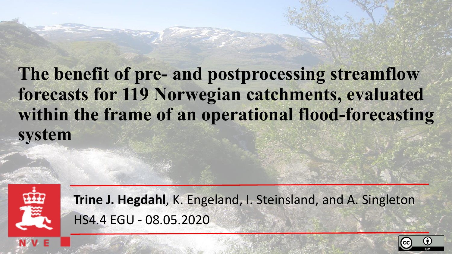# **The benefit of pre- and postprocessing streamflow forecasts for 119 Norwegian catchments, evaluated within the frame of an operational flood-forecasting system**



**Trine J. Hegdahl**, K. Engeland, I. Steinsland, and A. Singleton HS4.4 EGU - 08.05.2020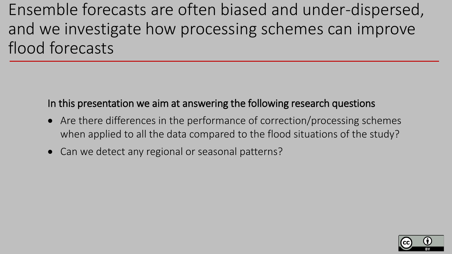Ensemble forecasts are often biased and under-dispersed, and we investigate how processing schemes can improve flood forecasts

In this presentation we aim at answering the following research questions

- Are there differences in the performance of correction/processing schemes when applied to all the data compared to the flood situations of the study?
- Can we detect any regional or seasonal patterns?

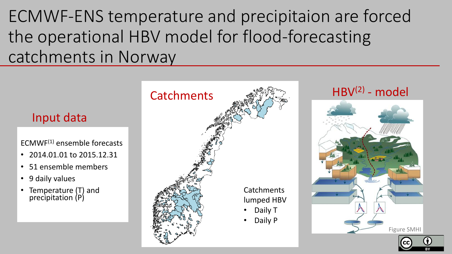ECMWF-ENS temperature and precipitaion are forced the operational HBV model for flood-forecasting catchments in Norway

#### Input data

 $ECMWF<sup>(1)</sup>$  ensemble forecasts

- 2014.01.01 to 2015.12.31
- 51 ensemble members
- 9 daily values
- Temperature (T) and precipitation (P)



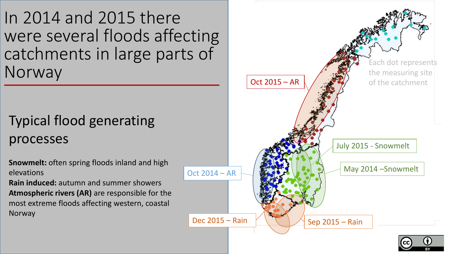In 2014 and 2015 there were several floods affecting catchments in large parts of Norway

# Typical flood generating processes

**Snowmelt:** often spring floods inland and high elevations

**Rain induced:** autumn and summer showers **Atmospheric rivers (AR)** are responsible for the most extreme floods affecting western, coastal **Norway** 

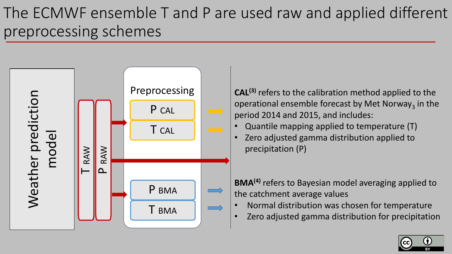# The ECMWF ensemble T and P are used raw and applied different preprocessing schemes



Total 14 r applied to tr Postprocessing **Preprocessing CAL<sup>(3)</sup>** refers to the calibration method applied to the  $\begin{array}{c} \mathsf{AL^{(i)}} \ \mathsf{peric} \ \mathsf{Q} \ \mathsf{Z} \mathsf{e} \ \mathsf{p} \ \mathsf{B} \ \mathsf{M} \mathsf{e} \ \mathsf{e} \end{array}$ operational ensemble forecast by Met Norway<sub>3</sub> in the period 2014 and 2015, and includes:

- Quantile mapping applied to temperature (T)
- examing mapping applied to temperature (ii) precipitation (P)

**BMA(4)** refers to Bayesian model averaging applied to the catchment average values

- Normal distribution was chosen for temperature
- Zero adjusted gamma distribution for precipitation

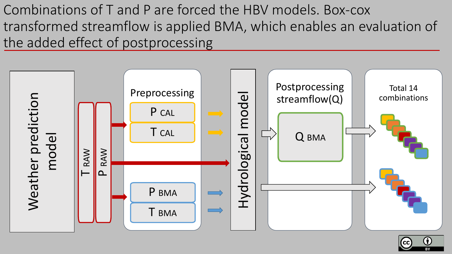Combinations of T and P are forced the HBV models. Box-cox transformed streamflow is applied BMA, which enables an evaluation of the added effect of postprocessing



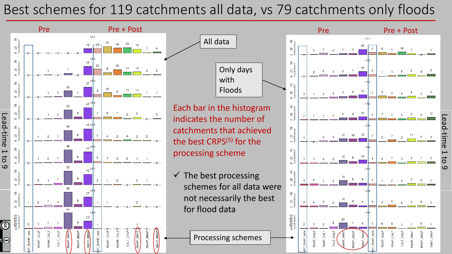### Best schemes for 119 catchments all data, vs 79 catchments only floods

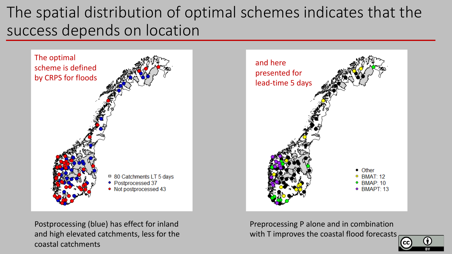# The spatial distribution of optimal schemes indicates that the success depends on location





Postprocessing (blue) has effect for inland and high elevated catchments, less for the coastal catchments

Preprocessing P alone and in combination with T improves the coastal flood forecasts

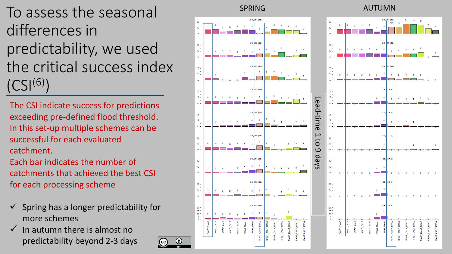To assess the seasonal differences in predictability, we used the critical success index  $(CSI^{(6)})$ 

The CSI indicate success for predictions exceeding pre -defined flood threshold. In this set -up multiple schemes can be successful for each evaluated catchment.

Each bar indicates the number of catchments that achieved the best CSI for eac h processing scheme

- $\checkmark$  Spring has a longer predictability for more schemes
- In autumn there is almost no predictability beyond 2 -3 days

 $\mathbb{R}$  $\epsilon$ 

 $\mathbb{R}$  1

 $\mathbb{R}$ 

 $15 -$ 

(cc)



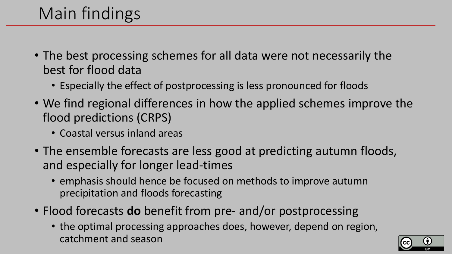# Main findings

- The best processing schemes for all data were not necessarily the best for flood data
	- Especially the effect of postprocessing is less pronounced for floods
- We find regional differences in how the applied schemes improve the flood predictions (CRPS)
	- Coastal versus inland areas
- The ensemble forecasts are less good at predicting autumn floods, and especially for longer lead-times
	- emphasis should hence be focused on methods to improve autumn precipitation and floods forecasting
- Flood forecasts **do** benefit from pre- and/or postprocessing
	- the optimal processing approaches does, however, depend on region, catchment and season